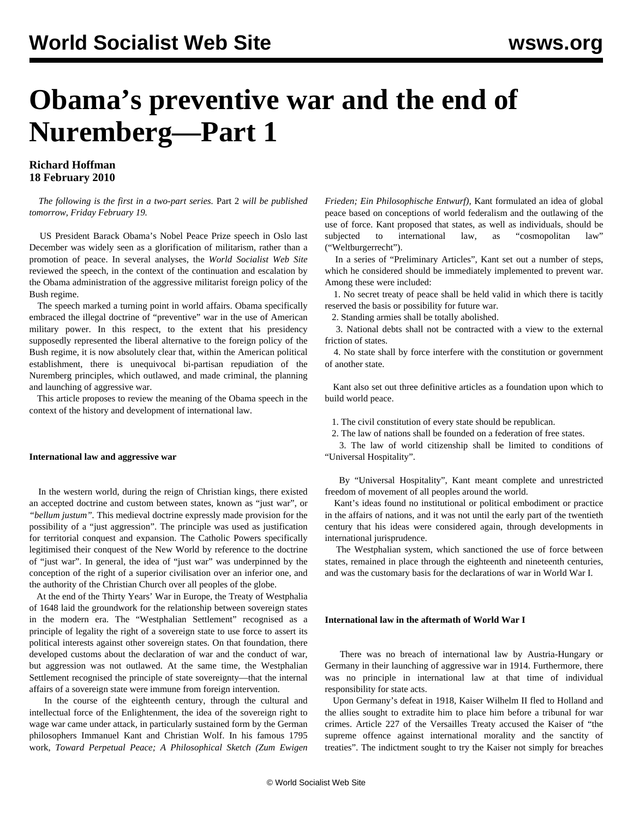# **Obama's preventive war and the end of Nuremberg—Part 1**

## **Richard Hoffman 18 February 2010**

 *The following is the first in a two-part series.* [Part 2](/en/articles/2010/feb2010/law2-f19.shtml) *will be published tomorrow, Friday February 19.*

 US President Barack Obama's Nobel Peace Prize speech in Oslo last December was widely seen as a glorification of militarism, rather than a promotion of peace. In several analyses, the *World Socialist Web Site* reviewed the speech, in the context of the continuation and escalation by the Obama administration of the aggressive militarist foreign policy of the Bush regime.

 The speech marked a turning point in world affairs. Obama specifically embraced the illegal doctrine of "preventive" war in the use of American military power. In this respect, to the extent that his presidency supposedly represented the liberal alternative to the foreign policy of the Bush regime, it is now absolutely clear that, within the American political establishment, there is unequivocal bi-partisan repudiation of the Nuremberg principles, which outlawed, and made criminal, the planning and launching of aggressive war.

 This article proposes to review the meaning of the Obama speech in the context of the history and development of international law.

#### **International law and aggressive war**

 In the western world, during the reign of Christian kings, there existed an accepted doctrine and custom between states, known as "just war", or *"bellum justum".* This medieval doctrine expressly made provision for the possibility of a "just aggression". The principle was used as justification for territorial conquest and expansion. The Catholic Powers specifically legitimised their conquest of the New World by reference to the doctrine of "just war". In general, the idea of "just war" was underpinned by the conception of the right of a superior civilisation over an inferior one, and the authority of the Christian Church over all peoples of the globe.

 At the end of the Thirty Years' War in Europe, the Treaty of Westphalia of 1648 laid the groundwork for the relationship between sovereign states in the modern era. The "Westphalian Settlement" recognised as a principle of legality the right of a sovereign state to use force to assert its political interests against other sovereign states. On that foundation, there developed customs about the declaration of war and the conduct of war, but aggression was not outlawed. At the same time, the Westphalian Settlement recognised the principle of state sovereignty—that the internal affairs of a sovereign state were immune from foreign intervention.

 In the course of the eighteenth century, through the cultural and intellectual force of the Enlightenment, the idea of the sovereign right to wage war came under attack, in particularly sustained form by the German philosophers Immanuel Kant and Christian Wolf. In his famous 1795 work, *Toward Perpetual Peace; A Philosophical Sketch (Zum Ewigen*

*Frieden; Ein Philosophische Entwurf)*, Kant formulated an idea of global peace based on conceptions of world federalism and the outlawing of the use of force. Kant proposed that states, as well as individuals, should be subjected to international law, as "cosmopolitan law" ("Weltburgerrecht").

 In a series of "Preliminary Articles", Kant set out a number of steps, which he considered should be immediately implemented to prevent war. Among these were included:

 1. No secret treaty of peace shall be held valid in which there is tacitly reserved the basis or possibility for future war.

2. Standing armies shall be totally abolished.

 3. National debts shall not be contracted with a view to the external friction of states.

 4. No state shall by force interfere with the constitution or government of another state.

 Kant also set out three definitive articles as a foundation upon which to build world peace.

1. The civil constitution of every state should be republican.

2. The law of nations shall be founded on a federation of free states.

 3. The law of world citizenship shall be limited to conditions of "Universal Hospitality".

 By "Universal Hospitality", Kant meant complete and unrestricted freedom of movement of all peoples around the world.

 Kant's ideas found no institutional or political embodiment or practice in the affairs of nations, and it was not until the early part of the twentieth century that his ideas were considered again, through developments in international jurisprudence.

 The Westphalian system, which sanctioned the use of force between states, remained in place through the eighteenth and nineteenth centuries, and was the customary basis for the declarations of war in World War I.

### **International law in the aftermath of World War I**

 There was no breach of international law by Austria-Hungary or Germany in their launching of aggressive war in 1914. Furthermore, there was no principle in international law at that time of individual responsibility for state acts.

 Upon Germany's defeat in 1918, Kaiser Wilhelm II fled to Holland and the allies sought to extradite him to place him before a tribunal for war crimes. Article 227 of the Versailles Treaty accused the Kaiser of "the supreme offence against international morality and the sanctity of treaties". The indictment sought to try the Kaiser not simply for breaches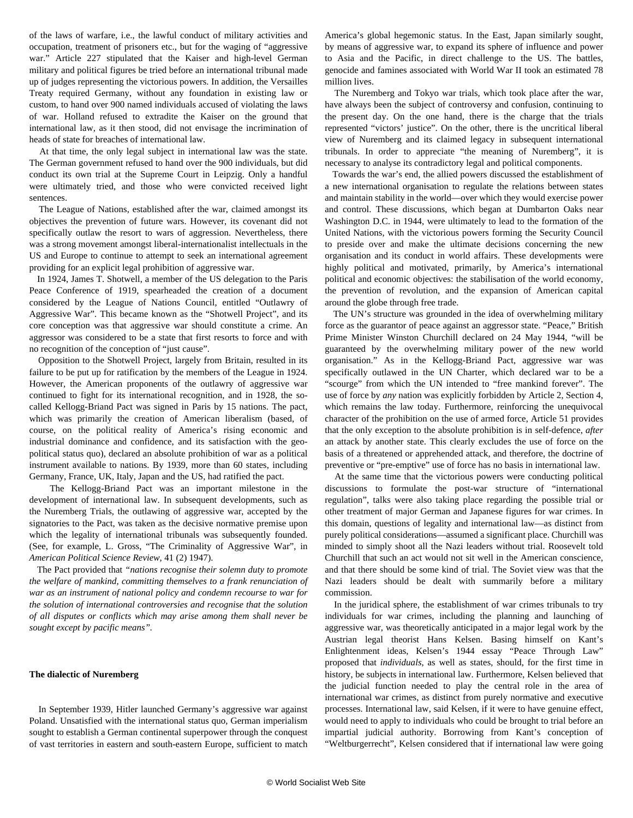of the laws of warfare, i.e., the lawful conduct of military activities and occupation, treatment of prisoners etc., but for the waging of "aggressive war." Article 227 stipulated that the Kaiser and high-level German military and political figures be tried before an international tribunal made up of judges representing the victorious powers. In addition, the Versailles Treaty required Germany, without any foundation in existing law or custom, to hand over 900 named individuals accused of violating the laws of war. Holland refused to extradite the Kaiser on the ground that international law, as it then stood, did not envisage the incrimination of heads of state for breaches of international law.

 At that time, the only legal subject in international law was the state. The German government refused to hand over the 900 individuals, but did conduct its own trial at the Supreme Court in Leipzig. Only a handful were ultimately tried, and those who were convicted received light sentences.

 The League of Nations, established after the war, claimed amongst its objectives the prevention of future wars. However, its covenant did not specifically outlaw the resort to wars of aggression. Nevertheless, there was a strong movement amongst liberal-internationalist intellectuals in the US and Europe to continue to attempt to seek an international agreement providing for an explicit legal prohibition of aggressive war.

 In 1924, James T. Shotwell, a member of the US delegation to the Paris Peace Conference of 1919, spearheaded the creation of a document considered by the League of Nations Council, entitled "Outlawry of Aggressive War". This became known as the "Shotwell Project", and its core conception was that aggressive war should constitute a crime. An aggressor was considered to be a state that first resorts to force and with no recognition of the conception of "just cause".

 Opposition to the Shotwell Project, largely from Britain, resulted in its failure to be put up for ratification by the members of the League in 1924. However, the American proponents of the outlawry of aggressive war continued to fight for its international recognition, and in 1928, the socalled Kellogg-Briand Pact was signed in Paris by 15 nations. The pact, which was primarily the creation of American liberalism (based, of course, on the political reality of America's rising economic and industrial dominance and confidence, and its satisfaction with the geopolitical status quo), declared an absolute prohibition of war as a political instrument available to nations. By 1939, more than 60 states, including Germany, France, UK, Italy, Japan and the US, had ratified the pact.

 The Kellogg-Briand Pact was an important milestone in the development of international law. In subsequent developments, such as the Nuremberg Trials, the outlawing of aggressive war, accepted by the signatories to the Pact, was taken as the decisive normative premise upon which the legality of international tribunals was subsequently founded. (See, for example, L. Gross, "The Criminality of Aggressive War", in *American Political Science Review,* 41 (2) 1947).

 The Pact provided that *"nations recognise their solemn duty to promote the welfare of mankind, committing themselves to a frank renunciation of war as an instrument of national policy and condemn recourse to war for the solution of international controversies and recognise that the solution of all disputes or conflicts which may arise among them shall never be sought except by pacific means".*

#### **The dialectic of Nuremberg**

 In September 1939, Hitler launched Germany's aggressive war against Poland. Unsatisfied with the international status quo, German imperialism sought to establish a German continental superpower through the conquest of vast territories in eastern and south-eastern Europe, sufficient to match America's global hegemonic status. In the East, Japan similarly sought, by means of aggressive war, to expand its sphere of influence and power to Asia and the Pacific, in direct challenge to the US. The battles, genocide and famines associated with World War II took an estimated 78 million lives.

 The Nuremberg and Tokyo war trials, which took place after the war, have always been the subject of controversy and confusion, continuing to the present day. On the one hand, there is the charge that the trials represented "victors' justice". On the other, there is the uncritical liberal view of Nuremberg and its claimed legacy in subsequent international tribunals. In order to appreciate "the meaning of Nuremberg", it is necessary to analyse its contradictory legal and political components.

 Towards the war's end, the allied powers discussed the establishment of a new international organisation to regulate the relations between states and maintain stability in the world—over which they would exercise power and control. These discussions, which began at Dumbarton Oaks near Washington D.C. in 1944, were ultimately to lead to the formation of the United Nations, with the victorious powers forming the Security Council to preside over and make the ultimate decisions concerning the new organisation and its conduct in world affairs. These developments were highly political and motivated, primarily, by America's international political and economic objectives: the stabilisation of the world economy, the prevention of revolution, and the expansion of American capital around the globe through free trade.

 The UN's structure was grounded in the idea of overwhelming military force as the guarantor of peace against an aggressor state. "Peace," British Prime Minister Winston Churchill declared on 24 May 1944, "will be guaranteed by the overwhelming military power of the new world organisation." As in the Kellogg-Briand Pact, aggressive war was specifically outlawed in the UN Charter, which declared war to be a "scourge" from which the UN intended to "free mankind forever". The use of force by *any* nation was explicitly forbidden by Article 2, Section 4, which remains the law today. Furthermore, reinforcing the unequivocal character of the prohibition on the use of armed force, Article 51 provides that the only exception to the absolute prohibition is in self-defence, *after* an attack by another state. This clearly excludes the use of force on the basis of a threatened or apprehended attack, and therefore, the doctrine of preventive or "pre-emptive" use of force has no basis in international law.

 At the same time that the victorious powers were conducting political discussions to formulate the post-war structure of "international regulation", talks were also taking place regarding the possible trial or other treatment of major German and Japanese figures for war crimes. In this domain, questions of legality and international law—as distinct from purely political considerations—assumed a significant place. Churchill was minded to simply shoot all the Nazi leaders without trial. Roosevelt told Churchill that such an act would not sit well in the American conscience, and that there should be some kind of trial. The Soviet view was that the Nazi leaders should be dealt with summarily before a military commission.

 In the juridical sphere, the establishment of war crimes tribunals to try individuals for war crimes, including the planning and launching of aggressive war, was theoretically anticipated in a major legal work by the Austrian legal theorist Hans Kelsen. Basing himself on Kant's Enlightenment ideas, Kelsen's 1944 essay "Peace Through Law" proposed that *individuals*, as well as states, should, for the first time in history, be subjects in international law. Furthermore, Kelsen believed that the judicial function needed to play the central role in the area of international war crimes, as distinct from purely normative and executive processes. International law, said Kelsen, if it were to have genuine effect, would need to apply to individuals who could be brought to trial before an impartial judicial authority. Borrowing from Kant's conception of "Weltburgerrecht", Kelsen considered that if international law were going